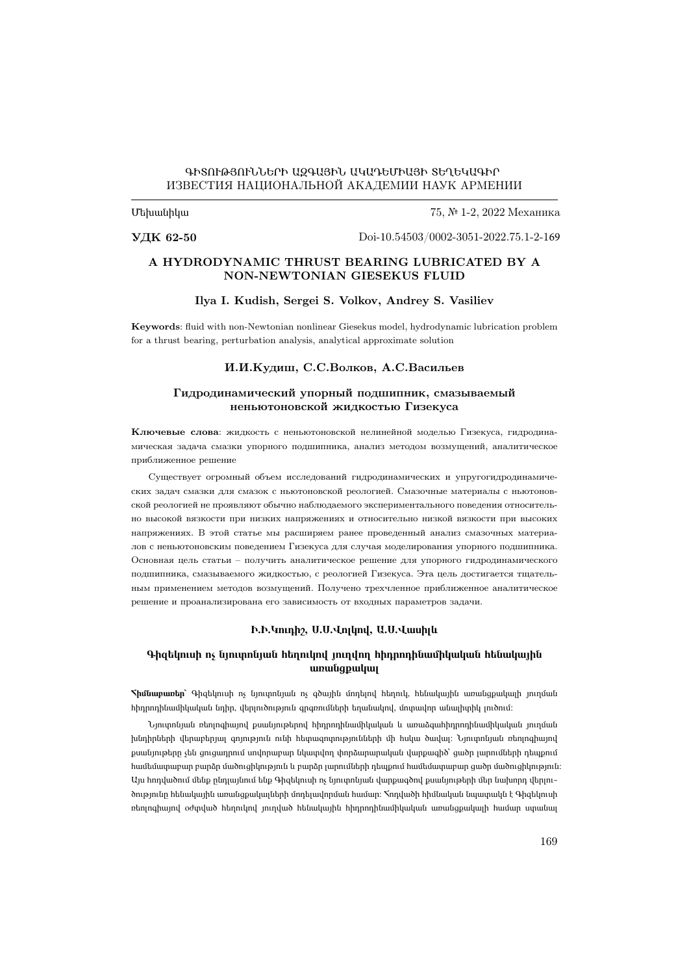### ԳԻՏՈՒԹՅՈՒՆՆԵՐԻ ԱԶԳԱՅԻՆ ԱԿԱԴԵՄԻԱՅԻ ՏԵՂԵԿԱԳԻՐ ИЗВЕСТИЯ НАЦИОНАЛЬНОЙ АКАДЕМИИ НАУК АРМЕНИИ

Մեխանիկա

75, № 1-2, 2022 Механика

УДК 62-50

Doi-1[0.54503/0002-3051-2022.75.1-2-1](https://doi.org/10.54503/0002-3051-2022.75.1-2-169)69

### A HYDRODYNAMIC THRUST BEARING LUBRICATED BY A NON-NEWTONIAN GIESEKUS FLUID

#### Ilya I. Kudish, Sergei S. Volkov, Andrey S. Vasiliev

Keywords: fluid with non-Newtonian nonlinear Giesekus model, hydrodynamic lubrication problem for a thrust bearing, perturbation analysis, analytical approximate solution

#### И.И.Кудиш, С.С.Волков, А.С.Васильев

### Гидродинамический упорный подшипник, смазываемый неньютоновской жидкостью Гизекуса

Ключевые слова: жидкость с неньютоновской нелинейной моделью Гизекуса, гидродинамическая задача смазки упорного подшипника, анализ методом возмущений, аналитическое приближенное решение

Существует огромный объем исследований гидродинамических и упругогидродинамических задач смазки для смазок с ньютоновской реологией. Смазочные материалы с ньютоновской реологией не проявляют обычно наблюдаемого экспериментального поведения относительно высокой вязкости при низких напряжениях и относительно низкой вязкости при высоких напряжениях. В этой статье мы расширяем ранее проведенный анализ смазочных материалов с неньютоновским поведением Гизекуса для случая моделирования упорного подшипника. Основная цель статьи – получить аналитическое решение для упорного гидродинамического подшипника, смазываемого жидкостью, с реологией Гизекуса. Эта цель достигается тщательным применением методов возмущений. Получено трехчленное приближенное аналитическое решение и проанализирована его зависимость от входных параметров задачи.

#### Ի.Ի.Կուդիշ, Ս.Ս.Վոլկով, Ա.Ս.Վասիլև

### Գիզեկուսի ոչ նյուտոնյան հեղուկով յուղվող հիդրոդինամիկական հենակային առանցքակալ

<mark>Տիմնաբառեր`</mark> Գիզեկուսի ոչ նյուտոնյան ոչ գծային մոդելով հեղուկ, հենակային առանցքակայի յուղման հիդրոդինամիկական նդիր, վերլուծություն գրգռումների եղանակով, մոտավոր անալիտիկ լուծում։

Նյուտոնյան ռեոլոգիայով քսանյութերով հիդրոդինամիկական և առաձգահիդրոդինամիկական յուղման խնդիրների վերաբերյալ գոյություն ունի հետազոտությունների մի հսկա ծավալ։ Նյուտոնյան ռեոլոգիայով քսանյութերը չեն ցուցադրում սովորաբար նկատվող փորձարարական վարքագիծ՝ ցածր լարումների դեպքում համեմատաբար բարձր մածուցիկություն և բարձր լարումների դեպքում համեմատաբար ցածր մածուցիկություն։ Այս հոդվածում մենք ընդլայնում ենք Գիզեկուսի ոչ նյուտոնյան վարքագծով քսանյութերի մեր նախորդ վերլուծությունը հենակային առանցքակալների մոդելավորման համար։ Հոդվածի հիմնական նպատակն է Գիզեկուսի ռեոլոգիայով օժտված հեղուկով յուղված հենակային հիդրոդինամիկական առանցքակալի համար ստանալ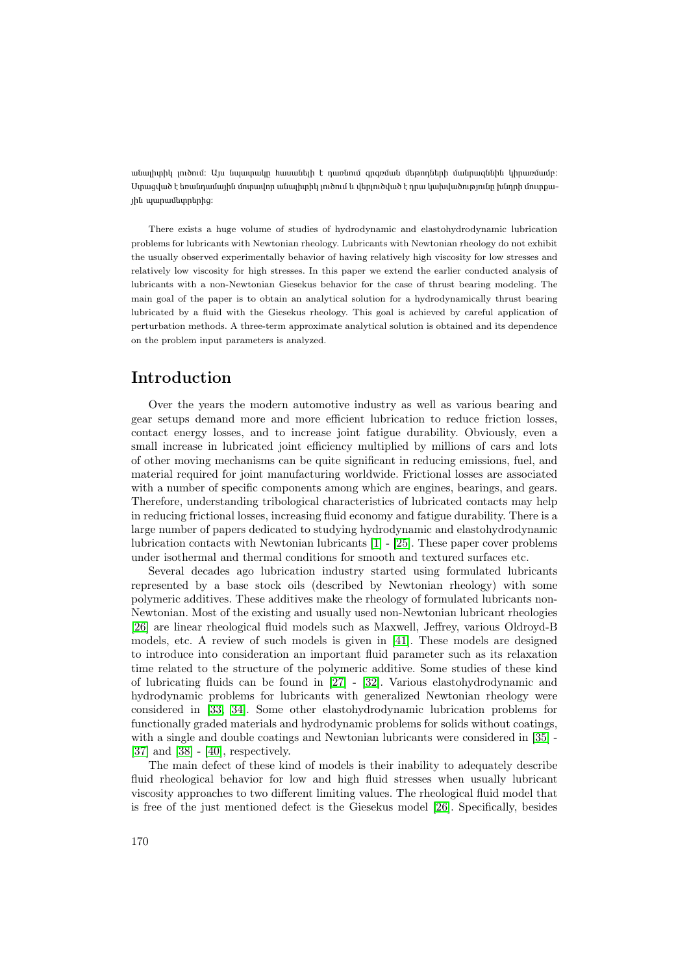անալիտիկ լուծում։ Այս նպատակը հասանելի է դառնում գրգռման մեթոդների մանրազննին կիրառմամբ։ Ստացված է եռանդամային մոտավոր անալիտիկ լուծում և վերլուծված է դրա կախվածությունը խնդրի մուտքային պարամետրերից։

There exists a huge volume of studies of hydrodynamic and elastohydrodynamic lubrication problems for lubricants with Newtonian rheology. Lubricants with Newtonian rheology do not exhibit the usually observed experimentally behavior of having relatively high viscosity for low stresses and relatively low viscosity for high stresses. In this paper we extend the earlier conducted analysis of lubricants with a non-Newtonian Giesekus behavior for the case of thrust bearing modeling. The main goal of the paper is to obtain an analytical solution for a hydrodynamically thrust bearing lubricated by a fluid with the Giesekus rheology. This goal is achieved by careful application of perturbation methods. A three-term approximate analytical solution is obtained and its dependence on the problem input parameters is analyzed.

## Introduction

Over the years the modern automotive industry as well as various bearing and gear setups demand more and more efficient lubrication to reduce friction losses, contact energy losses, and to increase joint fatigue durability. Obviously, even a small increase in lubricated joint efficiency multiplied by millions of cars and lots of other moving mechanisms can be quite significant in reducing emissions, fuel, and material required for joint manufacturing worldwide. Frictional losses are associated with a number of specific components among which are engines, bearings, and gears. Therefore, understanding tribological characteristics of lubricated contacts may help in reducing frictional losses, increasing fluid economy and fatigue durability. There is a large number of papers dedicated to studying hydrodynamic and elastohydrodynamic lubrication contacts with Newtonian lubricants [\[1\]](#page-11-0) - [\[25\]](#page-12-0). These paper cover problems under isothermal and thermal conditions for smooth and textured surfaces etc.

Several decades ago lubrication industry started using formulated lubricants represented by a base stock oils (described by Newtonian rheology) with some polymeric additives. These additives make the rheology of formulated lubricants non-Newtonian. Most of the existing and usually used non-Newtonian lubricant rheologies [\[26\]](#page-12-1) are linear rheological fluid models such as Maxwell, Jeffrey, various Oldroyd-B models, etc. A review of such models is given in [\[41\]](#page-14-0). These models are designed to introduce into consideration an important fluid parameter such as its relaxation time related to the structure of the polymeric additive. Some studies of these kind of lubricating fluids can be found in [\[27\]](#page-12-2) - [\[32\]](#page-13-0). Various elastohydrodynamic and hydrodynamic problems for lubricants with generalized Newtonian rheology were considered in [\[33,](#page-13-1) [34\]](#page-13-2). Some other elastohydrodynamic lubrication problems for functionally graded materials and hydrodynamic problems for solids without coatings, with a single and double coatings and Newtonian lubricants were considered in [\[35\]](#page-13-3) - [\[37\]](#page-13-4) and [\[38\]](#page-13-5) - [\[40\]](#page-13-6), respectively.

The main defect of these kind of models is their inability to adequately describe fluid rheological behavior for low and high fluid stresses when usually lubricant viscosity approaches to two different limiting values. The rheological fluid model that is free of the just mentioned defect is the Giesekus model [\[26\]](#page-12-1). Specifically, besides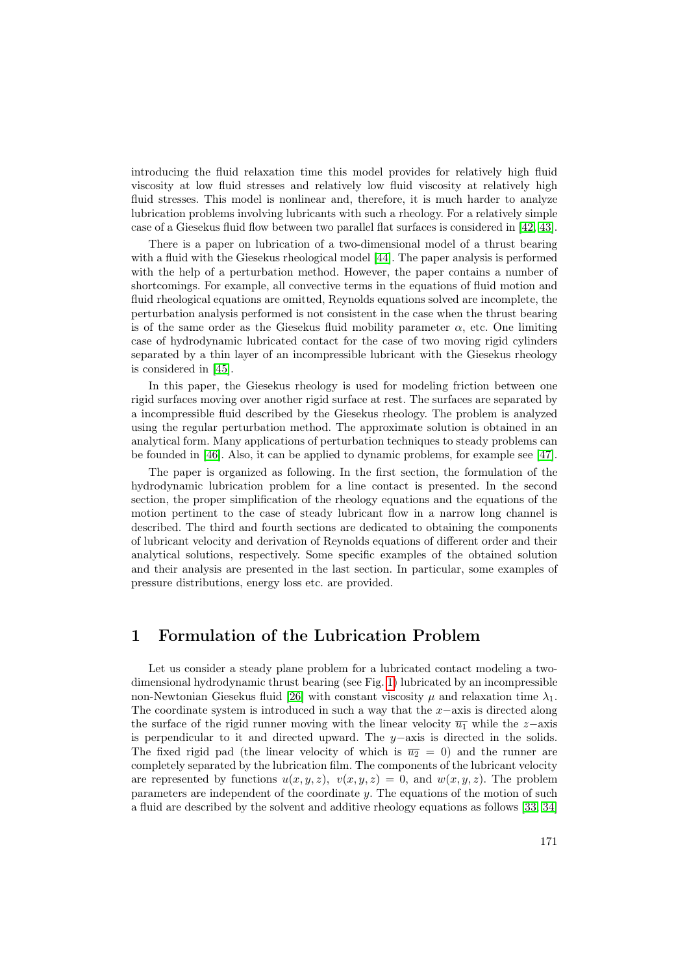introducing the fluid relaxation time this model provides for relatively high fluid viscosity at low fluid stresses and relatively low fluid viscosity at relatively high fluid stresses. This model is nonlinear and, therefore, it is much harder to analyze lubrication problems involving lubricants with such a rheology. For a relatively simple case of a Giesekus fluid flow between two parallel flat surfaces is considered in [\[42,](#page-14-1) [43\]](#page-14-2).

There is a paper on lubrication of a two-dimensional model of a thrust bearing with a fluid with the Giesekus rheological model [\[44\]](#page-14-3). The paper analysis is performed with the help of a perturbation method. However, the paper contains a number of shortcomings. For example, all convective terms in the equations of fluid motion and fluid rheological equations are omitted, Reynolds equations solved are incomplete, the perturbation analysis performed is not consistent in the case when the thrust bearing is of the same order as the Giesekus fluid mobility parameter  $\alpha$ , etc. One limiting case of hydrodynamic lubricated contact for the case of two moving rigid cylinders separated by a thin layer of an incompressible lubricant with the Giesekus rheology is considered in [\[45\]](#page-14-4).

In this paper, the Giesekus rheology is used for modeling friction between one rigid surfaces moving over another rigid surface at rest. The surfaces are separated by a incompressible fluid described by the Giesekus rheology. The problem is analyzed using the regular perturbation method. The approximate solution is obtained in an analytical form. Many applications of perturbation techniques to steady problems can be founded in [\[46\]](#page-14-5). Also, it can be applied to dynamic problems, for example see [\[47\]](#page-14-6).

The paper is organized as following. In the first section, the formulation of the hydrodynamic lubrication problem for a line contact is presented. In the second section, the proper simplification of the rheology equations and the equations of the motion pertinent to the case of steady lubricant flow in a narrow long channel is described. The third and fourth sections are dedicated to obtaining the components of lubricant velocity and derivation of Reynolds equations of different order and their analytical solutions, respectively. Some specific examples of the obtained solution and their analysis are presented in the last section. In particular, some examples of pressure distributions, energy loss etc. are provided.

### 1 Formulation of the Lubrication Problem

Let us consider a steady plane problem for a lubricated contact modeling a twodimensional hydrodynamic thrust bearing (see Fig. [1\)](#page-3-0) lubricated by an incompressible non-Newtonian Giesekus fluid [\[26\]](#page-12-1) with constant viscosity  $\mu$  and relaxation time  $\lambda_1$ . The coordinate system is introduced in such a way that the  $x$ −axis is directed along the surface of the rigid runner moving with the linear velocity  $\overline{u_1}$  while the z–axis is perpendicular to it and directed upward. The  $y$ -axis is directed in the solids. The fixed rigid pad (the linear velocity of which is  $\overline{u_2} = 0$ ) and the runner are completely separated by the lubrication film. The components of the lubricant velocity are represented by functions  $u(x, y, z)$ ,  $v(x, y, z) = 0$ , and  $w(x, y, z)$ . The problem parameters are independent of the coordinate  $y$ . The equations of the motion of such a fluid are described by the solvent and additive rheology equations as follows [\[33,](#page-13-1) [34\]](#page-13-2)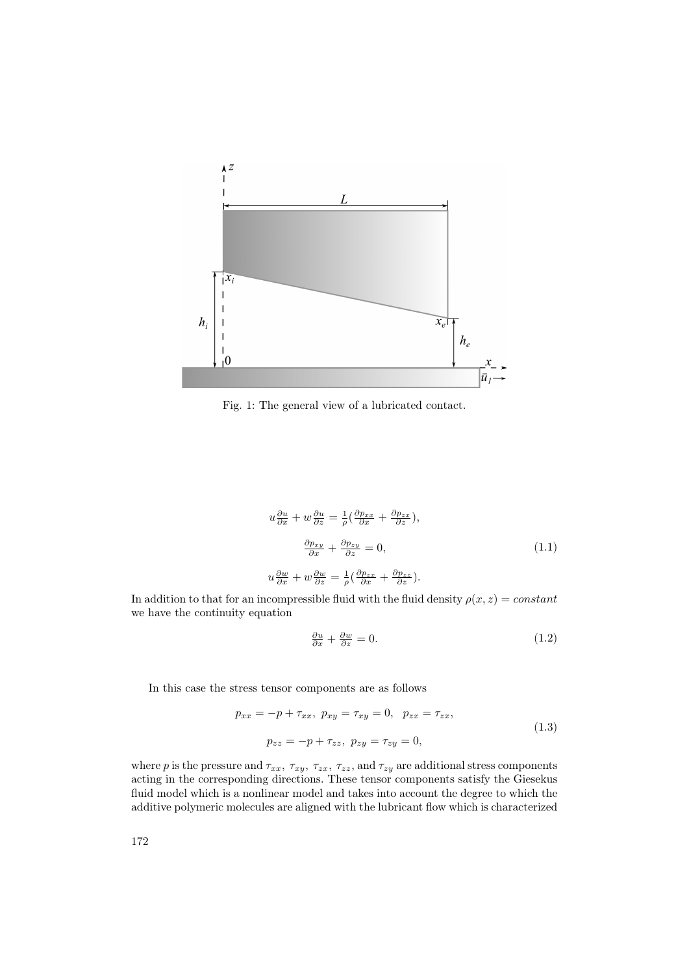<span id="page-3-0"></span>

Fig. 1: The general view of a lubricated contact.

<span id="page-3-1"></span>
$$
u\frac{\partial u}{\partial x} + w\frac{\partial u}{\partial z} = \frac{1}{\rho} \left( \frac{\partial p_{xx}}{\partial x} + \frac{\partial p_{zx}}{\partial z} \right),
$$
  

$$
\frac{\partial p_{xy}}{\partial x} + \frac{\partial p_{zy}}{\partial z} = 0,
$$
  

$$
u\frac{\partial w}{\partial x} + w\frac{\partial w}{\partial z} = \frac{1}{\rho} \left( \frac{\partial p_{zx}}{\partial x} + \frac{\partial p_{zz}}{\partial z} \right).
$$
 (1.1)

In addition to that for an incompressible fluid with the fluid density  $\rho(x, z) = constant$ we have the continuity equation

$$
\frac{\partial u}{\partial x} + \frac{\partial w}{\partial z} = 0.
$$
\n(1.2)

In this case the stress tensor components are as follows

$$
p_{xx} = -p + \tau_{xx}, \ p_{xy} = \tau_{xy} = 0, \ p_{zx} = \tau_{zx},
$$
  

$$
p_{zz} = -p + \tau_{zz}, \ p_{zy} = \tau_{zy} = 0,
$$
 (1.3)

where p is the pressure and  $\tau_{xx}$ ,  $\tau_{xy}$ ,  $\tau_{zx}$ ,  $\tau_{zz}$ , and  $\tau_{zy}$  are additional stress components acting in the corresponding directions. These tensor components satisfy the Giesekus fluid model which is a nonlinear model and takes into account the degree to which the additive polymeric molecules are aligned with the lubricant flow which is characterized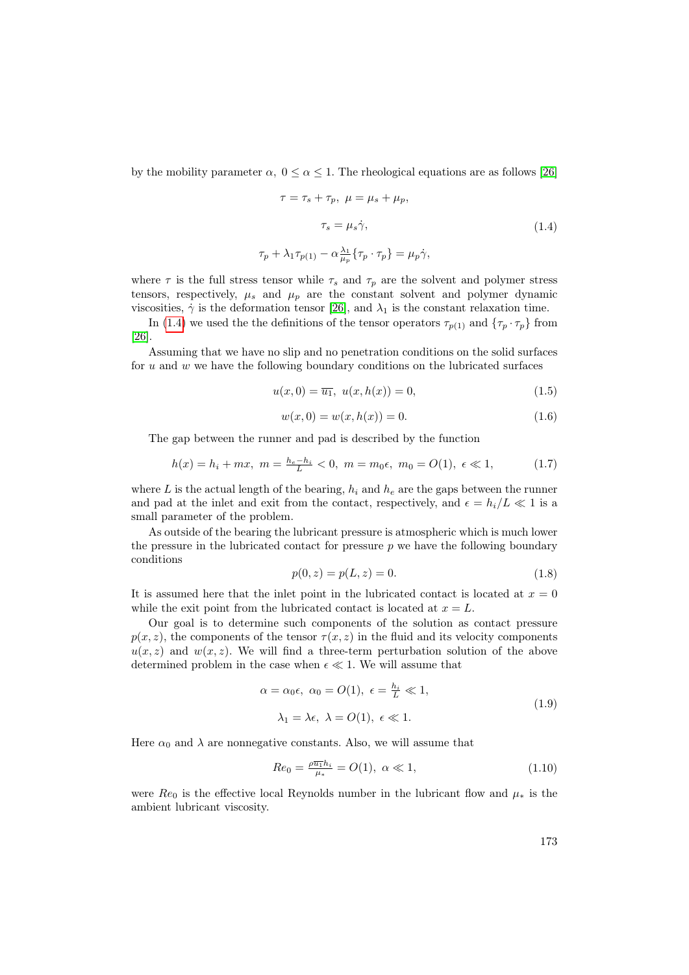by the mobility parameter  $\alpha$ ,  $0 \leq \alpha \leq 1$ . The rheological equations are as follows [\[26\]](#page-12-1)

<span id="page-4-0"></span>
$$
\tau = \tau_s + \tau_p, \ \mu = \mu_s + \mu_p,
$$
  

$$
\tau_s = \mu_s \dot{\gamma},
$$
  

$$
\tau_p + \lambda_1 \tau_{p(1)} - \alpha \frac{\lambda_1}{\mu_p} \{\tau_p \cdot \tau_p\} = \mu_p \dot{\gamma},
$$
  
(1.4)

where  $\tau$  is the full stress tensor while  $\tau_s$  and  $\tau_p$  are the solvent and polymer stress tensors, respectively,  $\mu_s$  and  $\mu_p$  are the constant solvent and polymer dynamic viscosities,  $\dot{\gamma}$  is the deformation tensor [\[26\]](#page-12-1), and  $\lambda_1$  is the constant relaxation time.

In [\(1.4\)](#page-4-0) we used the the definitions of the tensor operators  $\tau_{p(1)}$  and  $\{\tau_p \cdot \tau_p\}$  from [\[26\]](#page-12-1).

Assuming that we have no slip and no penetration conditions on the solid surfaces for  $u$  and  $w$  we have the following boundary conditions on the lubricated surfaces

$$
u(x,0) = \overline{u_1}, \ u(x,h(x)) = 0,\t(1.5)
$$

<span id="page-4-3"></span>
$$
w(x,0) = w(x,h(x)) = 0.
$$
\n(1.6)

The gap between the runner and pad is described by the function

<span id="page-4-1"></span>
$$
h(x) = h_i + mx, \ m = \frac{h_e - h_i}{L} < 0, \ m = m_0 \epsilon, \ m_0 = O(1), \ \epsilon \ll 1,\tag{1.7}
$$

where L is the actual length of the bearing,  $h_i$  and  $h_e$  are the gaps between the runner and pad at the inlet and exit from the contact, respectively, and  $\epsilon = h_i/L \ll 1$  is a small parameter of the problem.

As outside of the bearing the lubricant pressure is atmospheric which is much lower the pressure in the lubricated contact for pressure  $p$  we have the following boundary conditions

<span id="page-4-2"></span>
$$
p(0, z) = p(L, z) = 0.
$$
\n(1.8)

It is assumed here that the inlet point in the lubricated contact is located at  $x = 0$ while the exit point from the lubricated contact is located at  $x = L$ .

Our goal is to determine such components of the solution as contact pressure  $p(x, z)$ , the components of the tensor  $\tau(x, z)$  in the fluid and its velocity components  $u(x, z)$  and  $w(x, z)$ . We will find a three-term perturbation solution of the above determined problem in the case when  $\epsilon \ll 1$ . We will assume that

<span id="page-4-4"></span>
$$
\alpha = \alpha_0 \epsilon, \ \alpha_0 = O(1), \ \epsilon = \frac{h_i}{L} \ll 1,
$$
  

$$
\lambda_1 = \lambda \epsilon, \ \lambda = O(1), \ \epsilon \ll 1.
$$
 (1.9)

Here  $\alpha_0$  and  $\lambda$  are nonnegative constants. Also, we will assume that

<span id="page-4-5"></span>
$$
Re_0 = \frac{\rho \overline{u_1} h_i}{\mu_*} = O(1), \ \alpha \ll 1,
$$
\n(1.10)

were  $Re_0$  is the effective local Reynolds number in the lubricant flow and  $\mu_*$  is the ambient lubricant viscosity.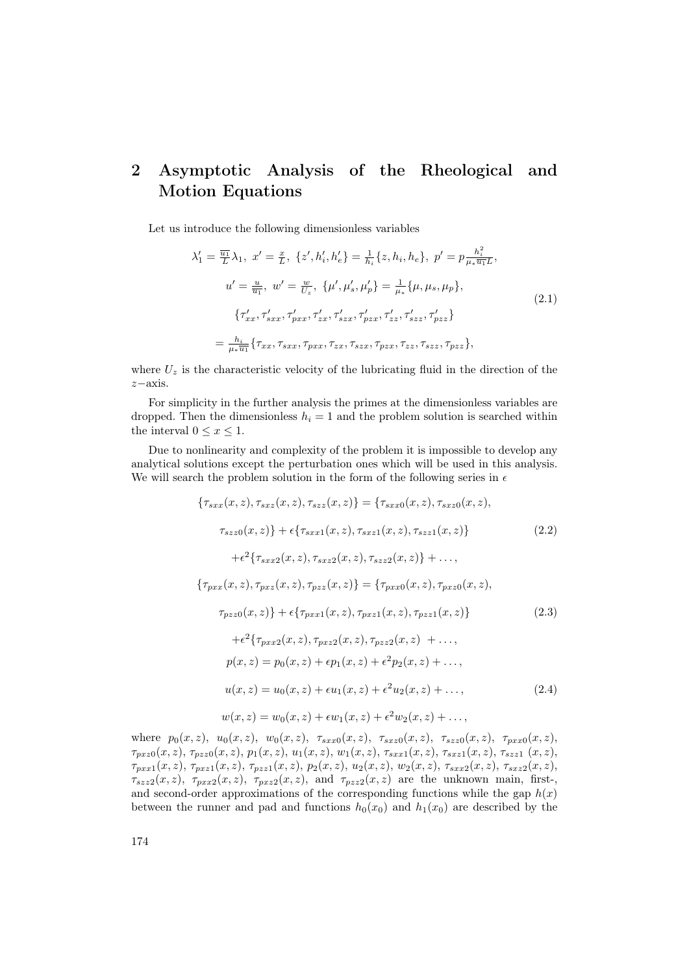# 2 Asymptotic Analysis of the Rheological and Motion Equations

Let us introduce the following dimensionless variables

<span id="page-5-1"></span>
$$
\lambda'_{1} = \frac{\overline{u_{1}}}{L} \lambda_{1}, \ x' = \frac{x}{L}, \ \{z', h'_{i}, h'_{e}\} = \frac{1}{h_{i}} \{z, h_{i}, h_{e}\}, \ p' = p \frac{h_{i}^{2}}{\mu_{*} \overline{u_{1}} L},
$$
  

$$
u' = \frac{u}{\overline{u_{1}}}, \ w' = \frac{w}{U_{z}}, \ \{\mu', \mu'_{s}, \mu'_{p}\} = \frac{1}{\mu_{*}} \{\mu, \mu_{s}, \mu_{p}\},
$$
  

$$
\{\tau'_{xx}, \tau'_{sxx}, \tau'_{pxx}, \tau'_{zx}, \tau'_{szx}, \tau'_{pzx}, \tau'_{zz}, \tau'_{szz}, \tau'_{pzz}\}
$$
  

$$
= \frac{h_{i}}{\mu_{*} \overline{u_{1}}} \{\tau_{xx}, \tau_{sxx}, \tau_{pxx}, \tau_{zx}, \tau_{szx}, \tau_{pzx}, \tau_{zz}, \tau_{szz}, \tau_{pzz}\},
$$
\n(2.1)

where  $U_z$  is the characteristic velocity of the lubricating fluid in the direction of the z−axis.

For simplicity in the further analysis the primes at the dimensionless variables are dropped. Then the dimensionless  $h_i = 1$  and the problem solution is searched within the interval  $0 \leq x \leq 1$ .

Due to nonlinearity and complexity of the problem it is impossible to develop any analytical solutions except the perturbation ones which will be used in this analysis. We will search the problem solution in the form of the following series in  $\epsilon$ 

<span id="page-5-0"></span>
$$
\{\tau_{sxx}(x, z), \tau_{sxz}(x, z), \tau_{szz}(x, z)\} = \{\tau_{sxx0}(x, z), \tau_{sxz0}(x, z),
$$
  
\n
$$
\tau_{szz0}(x, z)\} + \epsilon \{\tau_{sxx1}(x, z), \tau_{sxz1}(x, z), \tau_{szz1}(x, z)\}
$$
(2.2)  
\n
$$
+ \epsilon^2 \{\tau_{sxx2}(x, z), \tau_{sxz2}(x, z), \tau_{szz2}(x, z)\} + \dots,
$$
  
\n
$$
\{\tau_{pxx}(x, z), \tau_{pxz}(x, z), \tau_{pzz}(x, z)\} = \{\tau_{pxx0}(x, z), \tau_{pxz0}(x, z),
$$
  
\n
$$
\tau_{pzz0}(x, z)\} + \epsilon \{\tau_{pxx1}(x, z), \tau_{pxz1}(x, z), \tau_{pzz1}(x, z)\}
$$
(2.3)  
\n
$$
+ \epsilon^2 \{\tau_{pxx2}(x, z), \tau_{pxz2}(x, z), \tau_{pzz2}(x, z) + \dots,
$$
  
\n
$$
p(x, z) = p_0(x, z) + \epsilon p_1(x, z) + \epsilon^2 p_2(x, z) + \dots,
$$
  
\n
$$
u(x, z) = u_0(x, z) + \epsilon u_1(x, z) + \epsilon^2 u_2(x, z) + \dots,
$$
(2.4)  
\n
$$
w(x, z) = w_0(x, z) + \epsilon w_1(x, z) + \epsilon^2 w_2(x, z) + \dots,
$$

where  $p_0(x, z)$ ,  $u_0(x, z)$ ,  $w_0(x, z)$ ,  $\tau_{sxx0}(x, z)$ ,  $\tau_{sxx0}(x, z)$ ,  $\tau_{szz0}(x, z)$ ,  $\tau_{pxx0}(x, z)$ ,  $\tau_{pxz0}(x, z), \tau_{pzz0}(x, z), p_1(x, z), u_1(x, z), w_1(x, z), \tau_{sxx1}(x, z), \tau_{sxz1}(x, z), \tau_{szz1}(x, z),$  $\tau_{pxx1}(x, z), \tau_{pxz1}(x, z), \tau_{pzz1}(x, z), p_2(x, z), u_2(x, z), w_2(x, z), \tau_{sxx2}(x, z), \tau_{sxz2}(x, z),$  $\tau_{szz2}(x, z)$ ,  $\tau_{pxx2}(x, z)$ ,  $\tau_{pxz2}(x, z)$ , and  $\tau_{pzz2}(x, z)$  are the unknown main, first-, and second-order approximations of the corresponding functions while the gap  $h(x)$ between the runner and pad and functions  $h_0(x_0)$  and  $h_1(x_0)$  are described by the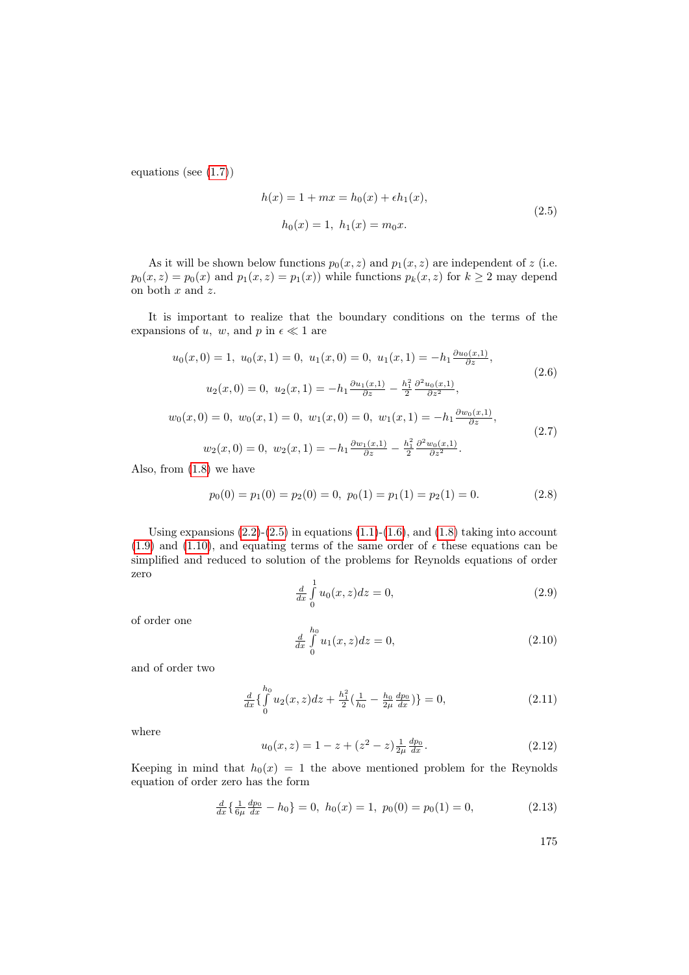equations (see [\(1.7\)](#page-4-1))

<span id="page-6-0"></span>
$$
h(x) = 1 + mx = h_0(x) + \epsilon h_1(x),
$$
  
\n
$$
h_0(x) = 1, h_1(x) = m_0 x.
$$
\n(2.5)

As it will be shown below functions  $p_0(x, z)$  and  $p_1(x, z)$  are independent of z (i.e.  $p_0(x, z) = p_0(x)$  and  $p_1(x, z) = p_1(x)$  while functions  $p_k(x, z)$  for  $k \ge 2$  may depend on both  $x$  and  $z$ .

It is important to realize that the boundary conditions on the terms of the expansions of u, w, and p in  $\epsilon \ll 1$  are

$$
u_0(x, 0) = 1, \ u_0(x, 1) = 0, \ u_1(x, 0) = 0, \ u_1(x, 1) = -h_1 \frac{\partial u_0(x, 1)}{\partial z},
$$
  
\n
$$
u_2(x, 0) = 0, \ u_2(x, 1) = -h_1 \frac{\partial u_1(x, 1)}{\partial z} - \frac{h_1^2}{2} \frac{\partial^2 u_0(x, 1)}{\partial z^2},
$$
  
\n
$$
w_0(x, 0) = 0, \ w_0(x, 1) = 0, \ w_1(x, 0) = 0, \ w_1(x, 1) = -h_1 \frac{\partial w_0(x, 1)}{\partial z},
$$
  
\n
$$
w_2(x, 0) = 0, \ w_2(x, 1) = -h_1 \frac{\partial w_1(x, 1)}{\partial z} - \frac{h_1^2}{2} \frac{\partial^2 w_0(x, 1)}{\partial z^2}.
$$
  
\n(2.7)

Also, from [\(1.8\)](#page-4-2) we have

<span id="page-6-2"></span>
$$
p_0(0) = p_1(0) = p_2(0) = 0, \ p_0(1) = p_1(1) = p_2(1) = 0.
$$
 (2.8)

Using expansions  $(2.2)-(2.5)$  $(2.2)-(2.5)$  $(2.2)-(2.5)$  in equations  $(1.1)-(1.6)$  $(1.1)-(1.6)$  $(1.1)-(1.6)$ , and  $(1.8)$  taking into account [\(1.9\)](#page-4-4) and [\(1.10\)](#page-4-5), and equating terms of the same order of  $\epsilon$  these equations can be simplified and reduced to solution of the problems for Reynolds equations of order zero

$$
\frac{d}{dx} \int_{0}^{1} u_0(x, z) dz = 0,
$$
\n(2.9)

of order one

$$
\frac{d}{dx} \int_{0}^{h_0} u_1(x, z) dz = 0,
$$
\n(2.10)

and of order two

<span id="page-6-1"></span>
$$
\frac{d}{dx}\left\{\int_{0}^{h_0} u_2(x,z)dz + \frac{h_1^2}{2}\left(\frac{1}{h_0} - \frac{h_0}{2\mu}\frac{dp_0}{dx}\right)\right\} = 0,\tag{2.11}
$$

where

$$
u_0(x,z) = 1 - z + (z^2 - z) \frac{1}{2\mu} \frac{dp_0}{dx}.
$$
 (2.12)

Keeping in mind that  $h_0(x) = 1$  the above mentioned problem for the Reynolds equation of order zero has the form

$$
\frac{d}{dx}\left\{\frac{1}{6\mu}\frac{dp_0}{dx} - h_0\right\} = 0, \ h_0(x) = 1, \ p_0(0) = p_0(1) = 0,\tag{2.13}
$$

175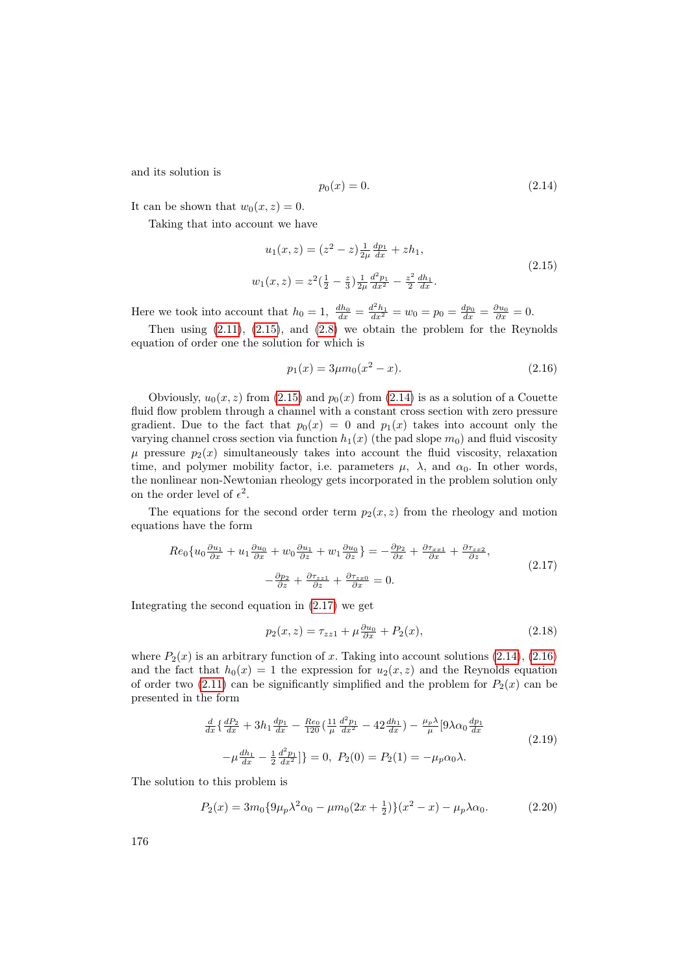and its solution is

<span id="page-7-1"></span>
$$
p_0(x) = 0.\t(2.14)
$$

It can be shown that  $w_0(x, z) = 0$ .

Taking that into account we have

<span id="page-7-0"></span>
$$
u_1(x, z) = (z^2 - z) \frac{1}{2\mu} \frac{dp_1}{dx} + zh_1,
$$
  

$$
w_1(x, z) = z^2 \left(\frac{1}{2} - \frac{z}{3}\right) \frac{1}{2\mu} \frac{d^2 p_1}{dx^2} - \frac{z^2}{2} \frac{dh_1}{dx}.
$$
 (2.15)

Here we took into account that  $h_0 = 1$ ,  $\frac{dh_0}{dx} = \frac{d^2h_1}{dx^2} = w_0 = p_0 = \frac{dp_0}{dx} = \frac{\partial u_0}{\partial x} = 0$ .

Then using [\(2.11\)](#page-6-1), [\(2.15\)](#page-7-0), and [\(2.8\)](#page-6-2) we obtain the problem for the Reynolds equation of order one the solution for which is

<span id="page-7-3"></span>
$$
p_1(x) = 3\mu m_0(x^2 - x). \tag{2.16}
$$

Obviously,  $u_0(x, z)$  from [\(2.15\)](#page-7-0) and  $p_0(x)$  from [\(2.14\)](#page-7-1) is as a solution of a Couette fluid flow problem through a channel with a constant cross section with zero pressure gradient. Due to the fact that  $p_0(x) = 0$  and  $p_1(x)$  takes into account only the varying channel cross section via function  $h_1(x)$  (the pad slope  $m_0$ ) and fluid viscosity  $\mu$  pressure  $p_2(x)$  simultaneously takes into account the fluid viscosity, relaxation time, and polymer mobility factor, i.e. parameters  $\mu$ ,  $\lambda$ , and  $\alpha_0$ . In other words, the nonlinear non-Newtonian rheology gets incorporated in the problem solution only on the order level of  $\epsilon^2$ .

The equations for the second order term  $p_2(x, z)$  from the rheology and motion equations have the form

<span id="page-7-2"></span>
$$
Re_0\{u_0\frac{\partial u_1}{\partial x} + u_1\frac{\partial u_0}{\partial x} + w_0\frac{\partial u_1}{\partial z} + w_1\frac{\partial u_0}{\partial z}\} = -\frac{\partial p_2}{\partial x} + \frac{\partial \tau_{xx1}}{\partial x} + \frac{\partial \tau_{xx2}}{\partial z},
$$
  

$$
-\frac{\partial p_2}{\partial z} + \frac{\partial \tau_{zz1}}{\partial z} + \frac{\partial \tau_{zz0}}{\partial x} = 0.
$$
 (2.17)

Integrating the second equation in [\(2.17\)](#page-7-2) we get

<span id="page-7-4"></span>
$$
p_2(x, z) = \tau_{zz1} + \mu \frac{\partial u_0}{\partial x} + P_2(x),
$$
\n(2.18)

where  $P_2(x)$  is an arbitrary function of x. Taking into account solutions [\(2.14\)](#page-7-1), [\(2.16\)](#page-7-3) and the fact that  $h_0(x) = 1$  the expression for  $u_2(x, z)$  and the Reynolds equation of order two [\(2.11\)](#page-6-1) can be significantly simplified and the problem for  $P_2(x)$  can be presented in the form

$$
\frac{d}{dx}\left\{\frac{dP_2}{dx} + 3h_1\frac{dp_1}{dx} - \frac{Re_0}{120}\left(\frac{11}{\mu}\frac{d^2p_1}{dx^2} - 42\frac{dh_1}{dx}\right) - \frac{\mu_p\lambda}{\mu}\left[9\lambda\alpha_0\frac{dp_1}{dx}\right] - \mu\frac{dh_1}{dx} - \frac{1}{2}\frac{d^2p_1}{dx^2}\right] = 0, \ P_2(0) = P_2(1) = -\mu_p\alpha_0\lambda.
$$
\n(2.19)

The solution to this problem is

<span id="page-7-5"></span>
$$
P_2(x) = 3m_0 \{9\mu_p \lambda^2 \alpha_0 - \mu m_0 (2x + \frac{1}{2})\} (x^2 - x) - \mu_p \lambda \alpha_0.
$$
 (2.20)

176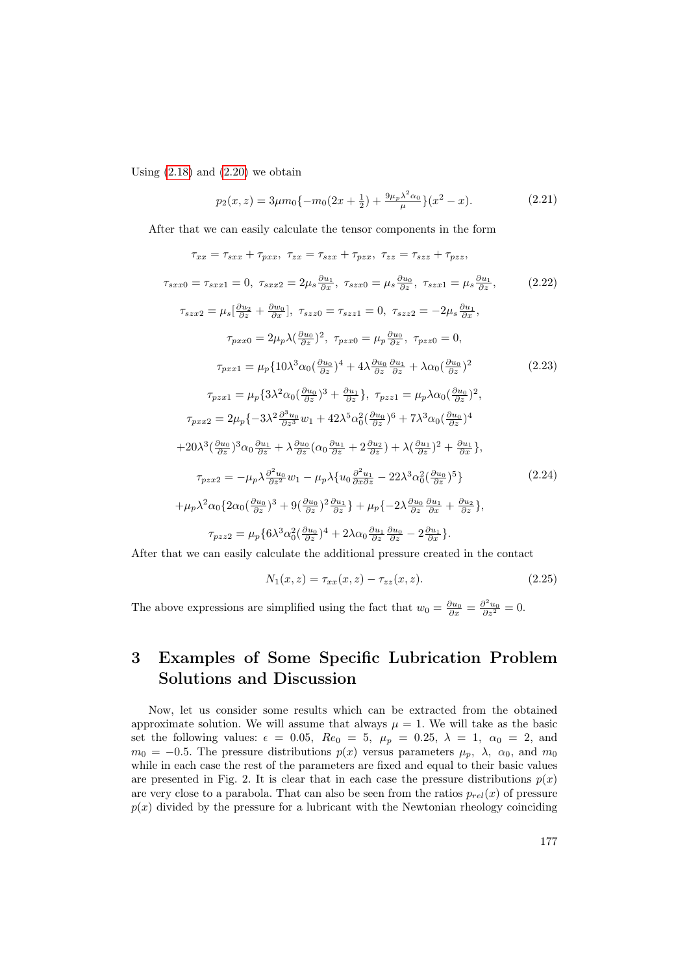Using  $(2.18)$  and  $(2.20)$  we obtain

$$
p_2(x, z) = 3\mu m_0 \{-m_0(2x + \frac{1}{2}) + \frac{9\mu_p \lambda^2 \alpha_0}{\mu}\} (x^2 - x). \tag{2.21}
$$

After that we can easily calculate the tensor components in the form

<span id="page-8-0"></span>
$$
\tau_{xx} = \tau_{sxx} + \tau_{pxx}, \ \tau_{zx} = \tau_{szx} + \tau_{pzx}, \ \tau_{zz} = \tau_{szz} + \tau_{pzz},
$$
\n
$$
\tau_{sxx0} = \tau_{sxx1} = 0, \ \tau_{sxx2} = 2\mu_s \frac{\partial u_1}{\partial x}, \ \tau_{szx0} = \mu_s \frac{\partial u_0}{\partial z}, \ \tau_{szx1} = \mu_s \frac{\partial u_1}{\partial z}, \tag{2.22}
$$
\n
$$
\tau_{szx2} = \mu_s \left[ \frac{\partial u_2}{\partial z} + \frac{\partial w_0}{\partial x} \right], \ \tau_{szz0} = \tau_{szz1} = 0, \ \tau_{szz2} = -2\mu_s \frac{\partial u_1}{\partial x},
$$
\n
$$
\tau_{pxx0} = 2\mu_p \lambda \left( \frac{\partial u_0}{\partial z} \right)^2, \ \tau_{pzx0} = \mu_p \frac{\partial u_0}{\partial z}, \ \tau_{pzz0} = 0,
$$
\n
$$
\tau_{pxx1} = \mu_p \{ 10\lambda^3 \alpha_0 \left( \frac{\partial u_0}{\partial z} \right)^4 + 4\lambda \frac{\partial u_0}{\partial z} \frac{\partial u_1}{\partial z} + \lambda \alpha_0 \left( \frac{\partial u_0}{\partial z} \right)^2
$$
\n
$$
\tau_{pxx1} = \mu_p \{ 3\lambda^2 \alpha_0 \left( \frac{\partial u_0}{\partial z} \right)^3 + \frac{\partial u_1}{\partial z} \}, \ \tau_{pzz1} = \mu_p \lambda \alpha_0 \left( \frac{\partial u_0}{\partial z} \right)^2,
$$
\n
$$
\tau_{pxx2} = 2\mu_p \{-3\lambda^2 \frac{\partial^3 u_0}{\partial z^3} w_1 + 42\lambda^5 \alpha_0^2 \left( \frac{\partial u_0}{\partial z} \right)^6 + 7\lambda^3 \alpha_0 \left( \frac{\partial u_0}{\partial z} \right)^4
$$
\n
$$
+20\lambda^3 \left( \frac{\partial u_0}{\partial z} \right)^3 \alpha_0 \frac{\partial u_1}{\partial z} + \lambda \frac{\partial u_0}{\partial z} \left( \alpha_0 \frac{\partial u_1}{\partial z} + 2 \frac{\partial u_
$$

<span id="page-8-1"></span>After that we can easily calculate the additional pressure created in the contact

$$
N_1(x, z) = \tau_{xx}(x, z) - \tau_{zz}(x, z).
$$
 (2.25)

The above expressions are simplified using the fact that  $w_0 = \frac{\partial u_0}{\partial x} = \frac{\partial^2 u_0}{\partial z^2} = 0$ .

# 3 Examples of Some Specific Lubrication Problem Solutions and Discussion

Now, let us consider some results which can be extracted from the obtained approximate solution. We will assume that always  $\mu = 1$ . We will take as the basic set the following values:  $\epsilon = 0.05$ ,  $Re_0 = 5$ ,  $\mu_p = 0.25$ ,  $\lambda = 1$ ,  $\alpha_0 = 2$ , and  $m_0 = -0.5$ . The pressure distributions  $p(x)$  versus parameters  $\mu_p$ ,  $\lambda$ ,  $\alpha_0$ , and  $m_0$ while in each case the rest of the parameters are fixed and equal to their basic values are presented in Fig. 2. It is clear that in each case the pressure distributions  $p(x)$ are very close to a parabola. That can also be seen from the ratios  $p_{rel}(x)$  of pressure  $p(x)$  divided by the pressure for a lubricant with the Newtonian rheology coinciding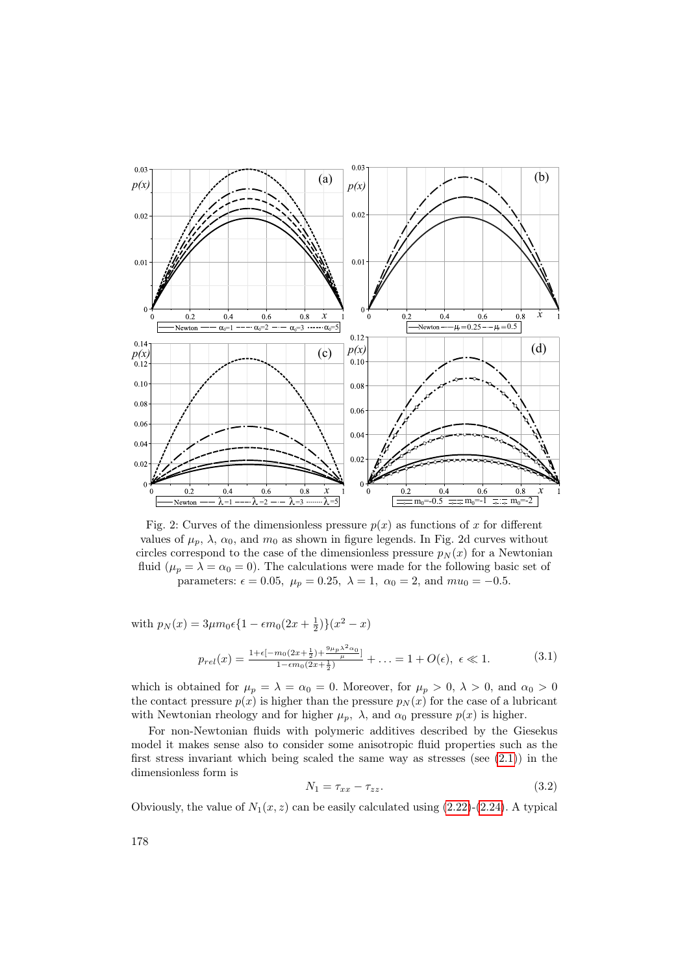

Fig. 2: Curves of the dimensionless pressure  $p(x)$  as functions of x for different values of  $\mu_p$ ,  $\lambda$ ,  $\alpha_0$ , and  $m_0$  as shown in figure legends. In Fig. 2d curves without circles correspond to the case of the dimensionless pressure  $p_N(x)$  for a Newtonian fluid  $(\mu_p = \lambda = \alpha_0 = 0)$ . The calculations were made for the following basic set of parameters:  $\epsilon = 0.05$ ,  $\mu_p = 0.25$ ,  $\lambda = 1$ ,  $\alpha_0 = 2$ , and  $mu_0 = -0.5$ .

with  $p_N(x) = 3\mu m_0 \epsilon \left\{1 - \epsilon m_0 (2x + \frac{1}{2})\right\} (x^2 - x)$ 

$$
p_{rel}(x) = \frac{1 + \epsilon [-m_0(2x + \frac{1}{2}) + \frac{9\mu_p \lambda^2 \alpha_0}{\mu}]}{1 - \epsilon m_0(2x + \frac{1}{2})} + \ldots = 1 + O(\epsilon), \ \epsilon \ll 1.
$$
 (3.1)

which is obtained for  $\mu_p = \lambda = \alpha_0 = 0$ . Moreover, for  $\mu_p > 0$ ,  $\lambda > 0$ , and  $\alpha_0 > 0$ the contact pressure  $p(x)$  is higher than the pressure  $p_N(x)$  for the case of a lubricant with Newtonian rheology and for higher  $\mu_p$ ,  $\lambda$ , and  $\alpha_0$  pressure  $p(x)$  is higher.

For non-Newtonian fluids with polymeric additives described by the Giesekus model it makes sense also to consider some anisotropic fluid properties such as the first stress invariant which being scaled the same way as stresses (see  $(2.1)$ ) in the dimensionless form is

$$
N_1 = \tau_{xx} - \tau_{zz}.\tag{3.2}
$$

Obviously, the value of  $N_1(x, z)$  can be easily calculated using  $(2.22)-(2.24)$  $(2.22)-(2.24)$  $(2.22)-(2.24)$ . A typical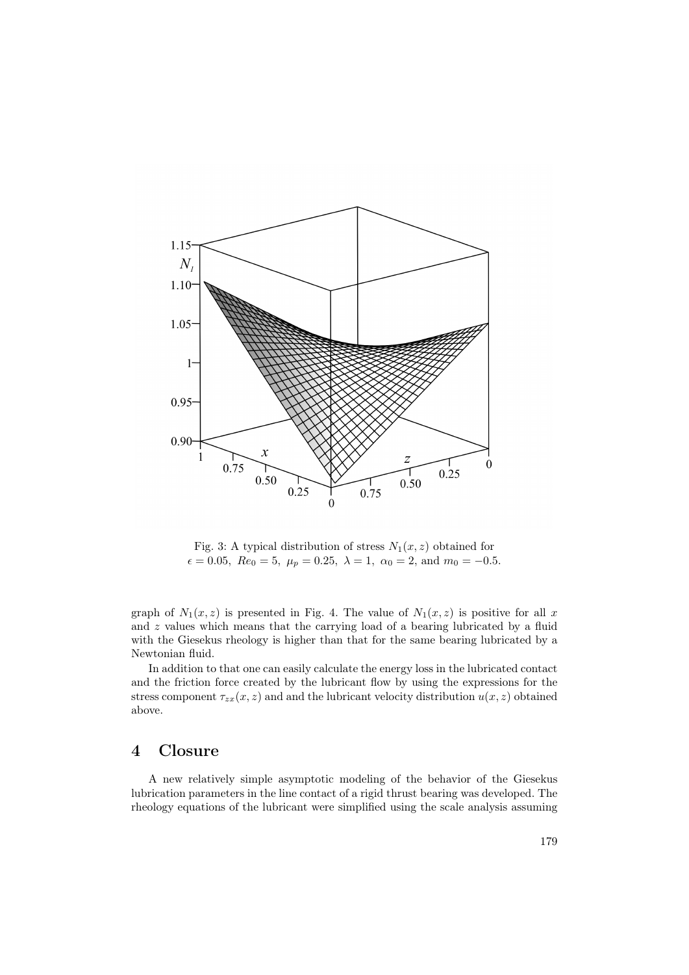

Fig. 3: A typical distribution of stress  $N_1(x, z)$  obtained for  $\epsilon = 0.05$ ,  $Re_0 = 5$ ,  $\mu_p = 0.25$ ,  $\lambda = 1$ ,  $\alpha_0 = 2$ , and  $m_0 = -0.5$ .

graph of  $N_1(x, z)$  is presented in Fig. 4. The value of  $N_1(x, z)$  is positive for all x and  $z$  values which means that the carrying load of a bearing lubricated by a fluid with the Giesekus rheology is higher than that for the same bearing lubricated by a Newtonian fluid.

In addition to that one can easily calculate the energy loss in the lubricated contact and the friction force created by the lubricant flow by using the expressions for the stress component  $\tau_{zx}(x, z)$  and and the lubricant velocity distribution  $u(x, z)$  obtained above.

# 4 Closure

A new relatively simple asymptotic modeling of the behavior of the Giesekus lubrication parameters in the line contact of a rigid thrust bearing was developed. The rheology equations of the lubricant were simplified using the scale analysis assuming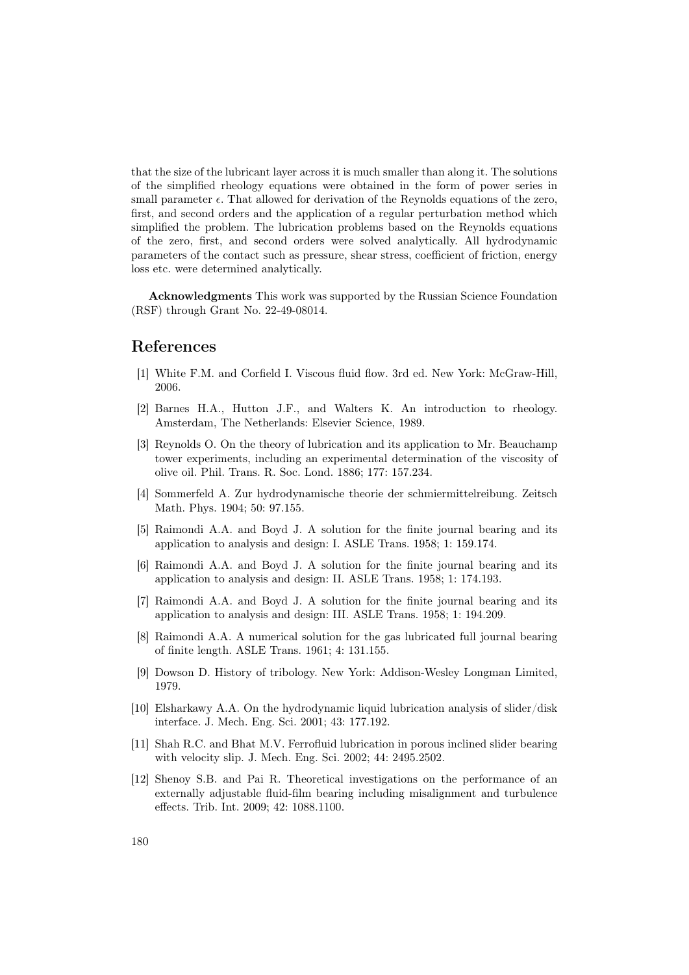that the size of the lubricant layer across it is much smaller than along it. The solutions of the simplified rheology equations were obtained in the form of power series in small parameter  $\epsilon$ . That allowed for derivation of the Reynolds equations of the zero, first, and second orders and the application of a regular perturbation method which simplified the problem. The lubrication problems based on the Reynolds equations of the zero, first, and second orders were solved analytically. All hydrodynamic parameters of the contact such as pressure, shear stress, coefficient of friction, energy loss etc. were determined analytically.

Acknowledgments This work was supported by the Russian Science Foundation (RSF) through Grant No. 22-49-08014.

## References

- <span id="page-11-0"></span>[1] White F.M. and Corfield I. Viscous fluid flow. 3rd ed. New York: McGraw-Hill, 2006.
- [2] Barnes H.A., Hutton J.F., and Walters K. An introduction to rheology. Amsterdam, The Netherlands: Elsevier Science, 1989.
- [3] Reynolds O. On the theory of lubrication and its application to Mr. Beauchamp tower experiments, including an experimental determination of the viscosity of olive oil. Phil. Trans. R. Soc. Lond. 1886; 177: 157.234.
- [4] Sommerfeld A. Zur hydrodynamische theorie der schmiermittelreibung. Zeitsch Math. Phys. 1904; 50: 97.155.
- [5] Raimondi A.A. and Boyd J. A solution for the finite journal bearing and its application to analysis and design: I. ASLE Trans. 1958; 1: 159.174.
- [6] Raimondi A.A. and Boyd J. A solution for the finite journal bearing and its application to analysis and design: II. ASLE Trans. 1958; 1: 174.193.
- [7] Raimondi A.A. and Boyd J. A solution for the finite journal bearing and its application to analysis and design: III. ASLE Trans. 1958; 1: 194.209.
- [8] Raimondi A.A. A numerical solution for the gas lubricated full journal bearing of finite length. ASLE Trans. 1961; 4: 131.155.
- [9] Dowson D. History of tribology. New York: Addison-Wesley Longman Limited, 1979.
- [10] Elsharkawy A.A. On the hydrodynamic liquid lubrication analysis of slider/disk interface. J. Mech. Eng. Sci. 2001; 43: 177.192.
- [11] Shah R.C. and Bhat M.V. Ferrofluid lubrication in porous inclined slider bearing with velocity slip. J. Mech. Eng. Sci. 2002; 44: 2495.2502.
- [12] Shenoy S.B. and Pai R. Theoretical investigations on the performance of an externally adjustable fluid-film bearing including misalignment and turbulence effects. Trib. Int. 2009; 42: 1088.1100.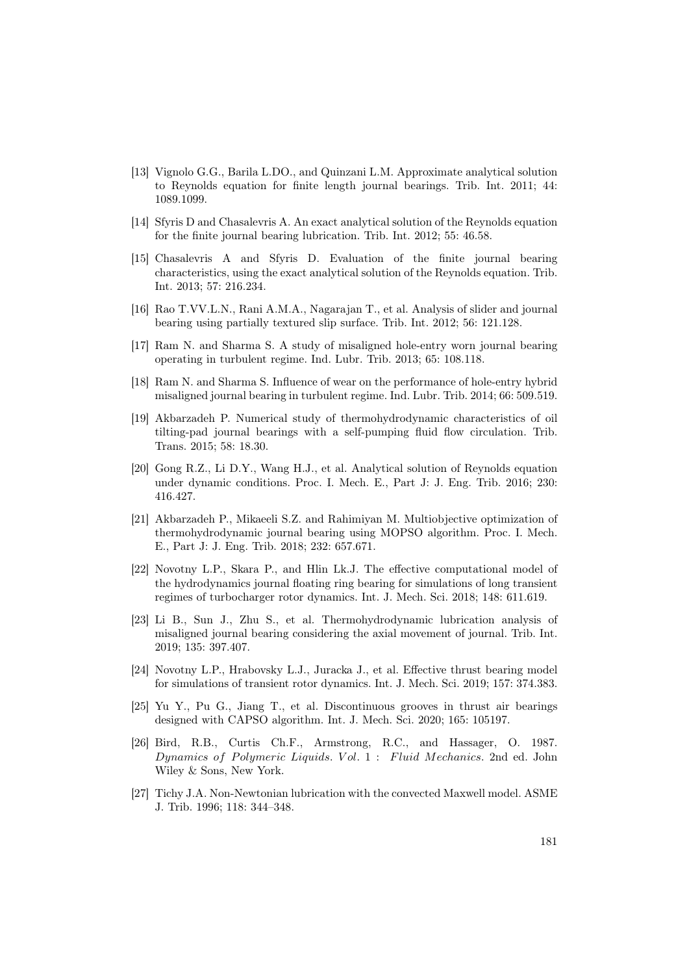- [13] Vignolo G.G., Barila L.DO., and Quinzani L.M. Approximate analytical solution to Reynolds equation for finite length journal bearings. Trib. Int. 2011; 44: 1089.1099.
- [14] Sfyris D and Chasalevris A. An exact analytical solution of the Reynolds equation for the finite journal bearing lubrication. Trib. Int. 2012; 55: 46.58.
- [15] Chasalevris A and Sfyris D. Evaluation of the finite journal bearing characteristics, using the exact analytical solution of the Reynolds equation. Trib. Int. 2013; 57: 216.234.
- [16] Rao T.VV.L.N., Rani A.M.A., Nagarajan T., et al. Analysis of slider and journal bearing using partially textured slip surface. Trib. Int. 2012; 56: 121.128.
- [17] Ram N. and Sharma S. A study of misaligned hole-entry worn journal bearing operating in turbulent regime. Ind. Lubr. Trib. 2013; 65: 108.118.
- [18] Ram N. and Sharma S. Influence of wear on the performance of hole-entry hybrid misaligned journal bearing in turbulent regime. Ind. Lubr. Trib. 2014; 66: 509.519.
- [19] Akbarzadeh P. Numerical study of thermohydrodynamic characteristics of oil tilting-pad journal bearings with a self-pumping fluid flow circulation. Trib. Trans. 2015; 58: 18.30.
- [20] Gong R.Z., Li D.Y., Wang H.J., et al. Analytical solution of Reynolds equation under dynamic conditions. Proc. I. Mech. E., Part J: J. Eng. Trib. 2016; 230: 416.427.
- [21] Akbarzadeh P., Mikaeeli S.Z. and Rahimiyan M. Multiobjective optimization of thermohydrodynamic journal bearing using MOPSO algorithm. Proc. I. Mech. E., Part J: J. Eng. Trib. 2018; 232: 657.671.
- [22] Novotny L.P., Skara P., and Hlin Lk.J. The effective computational model of the hydrodynamics journal floating ring bearing for simulations of long transient regimes of turbocharger rotor dynamics. Int. J. Mech. Sci. 2018; 148: 611.619.
- [23] Li B., Sun J., Zhu S., et al. Thermohydrodynamic lubrication analysis of misaligned journal bearing considering the axial movement of journal. Trib. Int. 2019; 135: 397.407.
- [24] Novotny L.P., Hrabovsky L.J., Juracka J., et al. Effective thrust bearing model for simulations of transient rotor dynamics. Int. J. Mech. Sci. 2019; 157: 374.383.
- <span id="page-12-0"></span>[25] Yu Y., Pu G., Jiang T., et al. Discontinuous grooves in thrust air bearings designed with CAPSO algorithm. Int. J. Mech. Sci. 2020; 165: 105197.
- <span id="page-12-1"></span>[26] Bird, R.B., Curtis Ch.F., Armstrong, R.C., and Hassager, O. 1987. Dynamics of Polymeric Liquids. Vol. 1: Fluid Mechanics. 2nd ed. John Wiley & Sons, New York.
- <span id="page-12-2"></span>[27] Tichy J.A. Non-Newtonian lubrication with the convected Maxwell model. ASME J. Trib. 1996; 118: 344–348.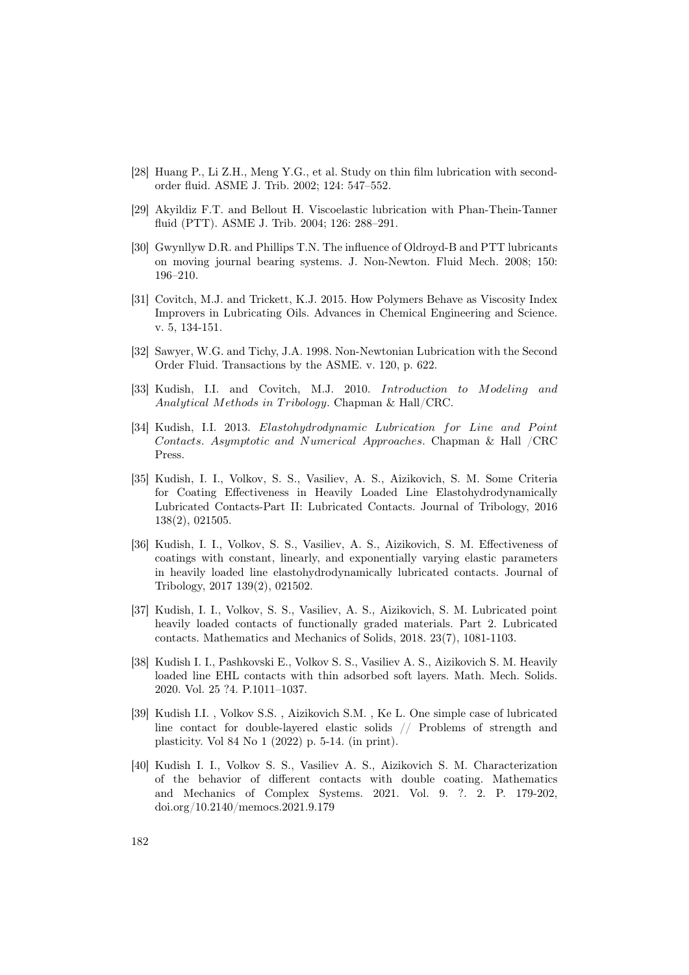- [28] Huang P., Li Z.H., Meng Y.G., et al. Study on thin film lubrication with secondorder fluid. ASME J. Trib. 2002; 124: 547–552.
- [29] Akyildiz F.T. and Bellout H. Viscoelastic lubrication with Phan-Thein-Tanner fluid (PTT). ASME J. Trib. 2004; 126: 288–291.
- [30] Gwynllyw D.R. and Phillips T.N. The influence of Oldroyd-B and PTT lubricants on moving journal bearing systems. J. Non-Newton. Fluid Mech. 2008; 150: 196–210.
- [31] Covitch, M.J. and Trickett, K.J. 2015. How Polymers Behave as Viscosity Index Improvers in Lubricating Oils. Advances in Chemical Engineering and Science. v. 5, 134-151.
- <span id="page-13-0"></span>[32] Sawyer, W.G. and Tichy, J.A. 1998. Non-Newtonian Lubrication with the Second Order Fluid. Transactions by the ASME. v. 120, p. 622.
- <span id="page-13-1"></span>[33] Kudish, I.I. and Covitch, M.J. 2010. Introduction to Modeling and Analytical Methods in Tribology. Chapman & Hall/CRC.
- <span id="page-13-2"></span>[34] Kudish, I.I. 2013. Elastohydrodynamic Lubrication for Line and Point Contacts. Asymptotic and Numerical Approaches. Chapman & Hall /CRC Press.
- <span id="page-13-3"></span>[35] Kudish, I. I., Volkov, S. S., Vasiliev, A. S., Aizikovich, S. M. Some Criteria for Coating Effectiveness in Heavily Loaded Line Elastohydrodynamically Lubricated Contacts-Part II: Lubricated Contacts. Journal of Tribology, 2016 138(2), 021505.
- [36] Kudish, I. I., Volkov, S. S., Vasiliev, A. S., Aizikovich, S. M. Effectiveness of coatings with constant, linearly, and exponentially varying elastic parameters in heavily loaded line elastohydrodynamically lubricated contacts. Journal of Tribology, 2017 139(2), 021502.
- <span id="page-13-4"></span>[37] Kudish, I. I., Volkov, S. S., Vasiliev, A. S., Aizikovich, S. M. Lubricated point heavily loaded contacts of functionally graded materials. Part 2. Lubricated contacts. Mathematics and Mechanics of Solids, 2018. 23(7), 1081-1103.
- <span id="page-13-5"></span>[38] Kudish I. I., Pashkovski E., Volkov S. S., Vasiliev A. S., Aizikovich S. M. Heavily loaded line EHL contacts with thin adsorbed soft layers. Math. Mech. Solids. 2020. Vol. 25 ?4. P.1011–1037.
- [39] Kudish I.I. , Volkov S.S. , Aizikovich S.M. , Ke L. One simple case of lubricated line contact for double-layered elastic solids // Problems of strength and plasticity. Vol 84 No 1 (2022) p. 5-14. (in print).
- <span id="page-13-6"></span>[40] Kudish I. I., Volkov S. S., Vasiliev A. S., Aizikovich S. M. Characterization of the behavior of different contacts with double coating. Mathematics and Mechanics of Complex Systems. 2021. Vol. 9. ?. 2. P. 179-202, doi.org/10.2140/memocs.2021.9.179